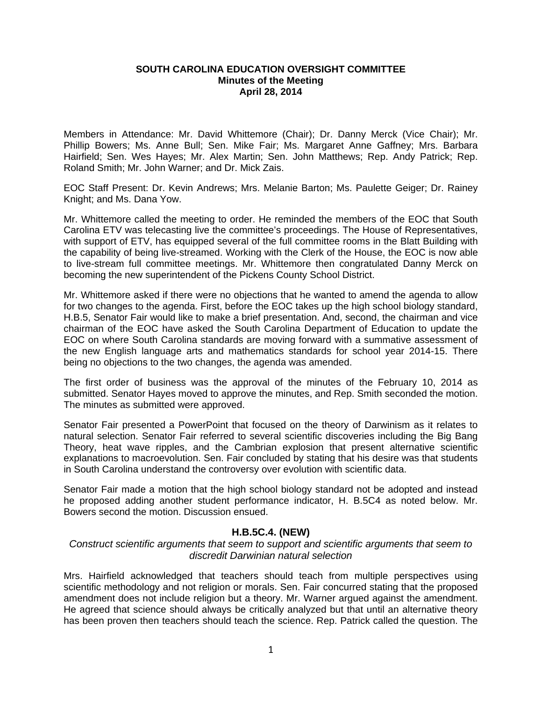## **SOUTH CAROLINA EDUCATION OVERSIGHT COMMITTEE Minutes of the Meeting April 28, 2014**

Members in Attendance: Mr. David Whittemore (Chair); Dr. Danny Merck (Vice Chair); Mr. Phillip Bowers; Ms. Anne Bull; Sen. Mike Fair; Ms. Margaret Anne Gaffney; Mrs. Barbara Hairfield; Sen. Wes Hayes; Mr. Alex Martin; Sen. John Matthews; Rep. Andy Patrick; Rep. Roland Smith; Mr. John Warner; and Dr. Mick Zais.

EOC Staff Present: Dr. Kevin Andrews; Mrs. Melanie Barton; Ms. Paulette Geiger; Dr. Rainey Knight; and Ms. Dana Yow.

Mr. Whittemore called the meeting to order. He reminded the members of the EOC that South Carolina ETV was telecasting live the committee's proceedings. The House of Representatives, with support of ETV, has equipped several of the full committee rooms in the Blatt Building with the capability of being live-streamed. Working with the Clerk of the House, the EOC is now able to live-stream full committee meetings. Mr. Whittemore then congratulated Danny Merck on becoming the new superintendent of the Pickens County School District.

Mr. Whittemore asked if there were no objections that he wanted to amend the agenda to allow for two changes to the agenda. First, before the EOC takes up the high school biology standard, H.B.5, Senator Fair would like to make a brief presentation. And, second, the chairman and vice chairman of the EOC have asked the South Carolina Department of Education to update the EOC on where South Carolina standards are moving forward with a summative assessment of the new English language arts and mathematics standards for school year 2014-15. There being no objections to the two changes, the agenda was amended.

The first order of business was the approval of the minutes of the February 10, 2014 as submitted. Senator Hayes moved to approve the minutes, and Rep. Smith seconded the motion. The minutes as submitted were approved.

Senator Fair presented a PowerPoint that focused on the theory of Darwinism as it relates to natural selection. Senator Fair referred to several scientific discoveries including the Big Bang Theory, heat wave ripples, and the Cambrian explosion that present alternative scientific explanations to macroevolution. Sen. Fair concluded by stating that his desire was that students in South Carolina understand the controversy over evolution with scientific data.

Senator Fair made a motion that the high school biology standard not be adopted and instead he proposed adding another student performance indicator, H. B.5C4 as noted below. Mr. Bowers second the motion. Discussion ensued.

## **H.B.5C.4. (NEW)**

## *Construct scientific arguments that seem to support and scientific arguments that seem to discredit Darwinian natural selection*

Mrs. Hairfield acknowledged that teachers should teach from multiple perspectives using scientific methodology and not religion or morals. Sen. Fair concurred stating that the proposed amendment does not include religion but a theory. Mr. Warner argued against the amendment. He agreed that science should always be critically analyzed but that until an alternative theory has been proven then teachers should teach the science. Rep. Patrick called the question. The